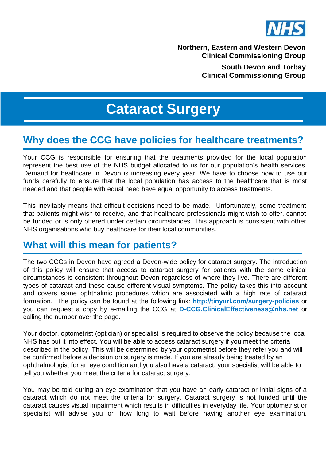

**Northern, Eastern and Western Devon Clinical Commissioning Group**

> **South Devon and Torbay Clinical Commissioning Group**

# **Cataract Surgery**

#### **Why does the CCG have policies for healthcare treatments?**

Your CCG is responsible for ensuring that the treatments provided for the local population represent the best use of the NHS budget allocated to us for our population's health services. Demand for healthcare in Devon is increasing every year. We have to choose how to use our funds carefully to ensure that the local population has access to the healthcare that is most needed and that people with equal need have equal opportunity to access treatments.

This inevitably means that difficult decisions need to be made. Unfortunately, some treatment that patients might wish to receive, and that healthcare professionals might wish to offer, cannot be funded or is only offered under certain circumstances. This approach is consistent with other NHS organisations who buy healthcare for their local communities.

#### **What will this mean for patients?**

The two CCGs in Devon have agreed a Devon-wide policy for cataract surgery. The introduction of this policy will ensure that access to cataract surgery for patients with the same clinical circumstances is consistent throughout Devon regardless of where they live. There are different types of cataract and these cause different visual symptoms. The policy takes this into account and covers some ophthalmic procedures which are associated with a high rate of cataract formation. The policy can be found at the following link: **<http://tinyurl.com/surgery-policies>** or you can request a copy by e-mailing the CCG at **[D-CCG.ClinicalEffectiveness@nhs.net](mailto:D-CCG.ClinicalEffectiveness@nhs.net)** or calling the number over the page.

Your doctor, optometrist (optician) or specialist is required to observe the policy because the local NHS has put it into effect. You will be able to access cataract surgery if you meet the criteria described in the policy. This will be determined by your optometrist before they refer you and will be confirmed before a decision on surgery is made. If you are already being treated by an ophthalmologist for an eye condition and you also have a cataract, your specialist will be able to tell you whether you meet the criteria for cataract surgery.

You may be told during an eye examination that you have an early cataract or initial signs of a cataract which do not meet the criteria for surgery. Cataract surgery is not funded until the cataract causes visual impairment which results in difficulties in everyday life. Your optometrist or specialist will advise you on how long to wait before having another eye examination.